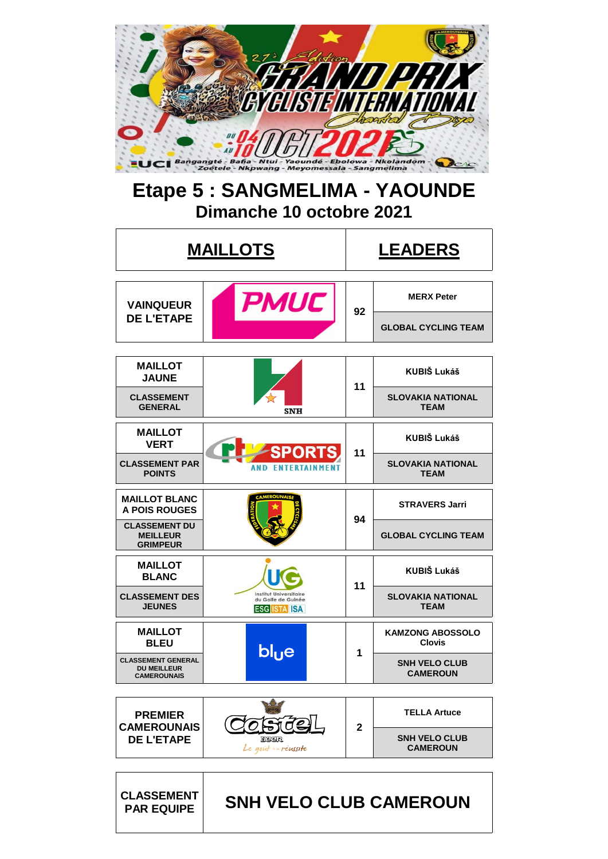

# **Etape 5 : SANGMELIMA - YAOUNDE Dimanche 10 octobre 2021**

|                                                                       | <b>MAILLOTS</b>                                                            | <b>LEADERS</b> |                                          |  |  |
|-----------------------------------------------------------------------|----------------------------------------------------------------------------|----------------|------------------------------------------|--|--|
| <b>VAINQUEUR</b>                                                      | <b>PMUC</b>                                                                | 92             | <b>MERX Peter</b>                        |  |  |
| <b>DE L'ETAPE</b>                                                     |                                                                            |                | <b>GLOBAL CYCLING TEAM</b>               |  |  |
| <b>MAILLOT</b><br><b>JAUNE</b>                                        |                                                                            |                | <b>KUBIŠ Lukáš</b>                       |  |  |
| <b>CLASSEMENT</b><br><b>GENERAL</b>                                   | <b>SNH</b>                                                                 | 11             | <b>SLOVAKIA NATIONAL</b><br><b>TEAM</b>  |  |  |
| <b>MAILLOT</b><br><b>VERT</b>                                         | <b>SPORTS</b>                                                              | 11             | <b>KUBIŠ Lukáš</b>                       |  |  |
| <b>CLASSEMENT PAR</b><br><b>POINTS</b>                                | <b>AND FNTFRTAINMENT</b>                                                   |                | <b>SLOVAKIA NATIONAL</b><br><b>TEAM</b>  |  |  |
| <b>MAILLOT BLANC</b><br><b>A POIS ROUGES</b>                          |                                                                            | 94             | <b>STRAVERS Jarri</b>                    |  |  |
| <b>CLASSEMENT DU</b><br><b>MEILLEUR</b><br><b>GRIMPEUR</b>            |                                                                            |                | <b>GLOBAL CYCLING TEAM</b>               |  |  |
| <b>MAILLOT</b><br><b>BLANC</b>                                        |                                                                            | 11             | <b>KUBIŠ Lukáš</b>                       |  |  |
| <b>CLASSEMENT DES</b><br><b>JEUNES</b>                                | <b>Institut Universitaire</b><br>du Golfe de Guinée<br><b>ESG ISTA ISA</b> |                | <b>SLOVAKIA NATIONAL</b><br><b>TEAM</b>  |  |  |
| <b>MAILLOT</b><br><b>BLEU</b>                                         | blue                                                                       | 1              | <b>KAMZONG ABOSSOLO</b><br><b>Clovis</b> |  |  |
| <b>CLASSEMENT GENERAL</b><br><b>DU MEILLEUR</b><br><b>CAMEROUNAIS</b> |                                                                            |                | <b>SNH VELO CLUB</b><br><b>CAMEROUN</b>  |  |  |
| <b>PREMIER</b>                                                        |                                                                            |                | <b>TELLA Artuce</b>                      |  |  |
| <b>CAMEROUNAIS</b><br><b>DE L'ETAPE</b>                               | Reer<br>Le goût in réussite                                                |                | <b>SNH VELO CLUB</b><br><b>CAMEROUN</b>  |  |  |
| <b>CLASSEMENT</b><br><b>PAR EQUIPE</b>                                | SNH VELO CLUB CAMEROUN                                                     |                |                                          |  |  |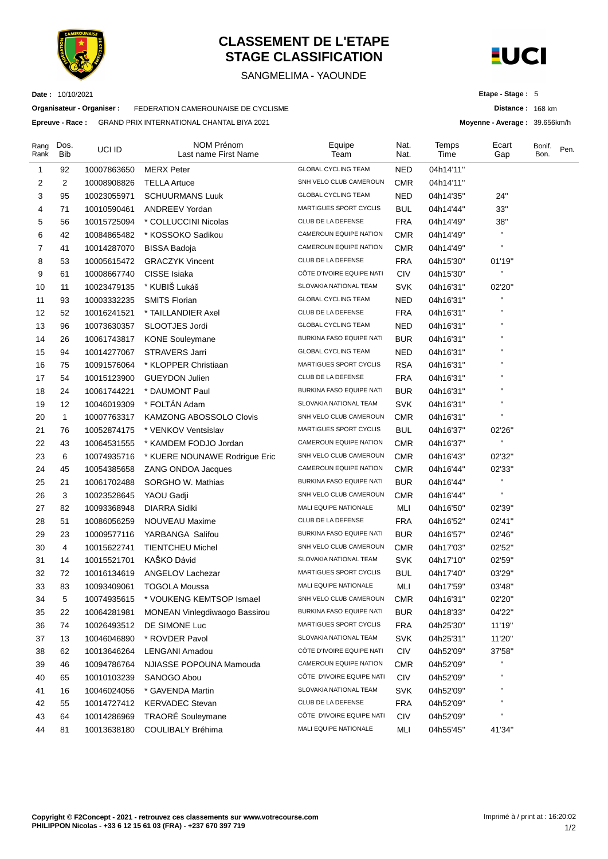

**Date :** 10/10/2021

## **CLASSEMENT DE L'ETAPE STAGE CLASSIFICATION**

#### SANGMELIMA - YAOUNDE



**Distance :** 168 km **Moyenne - Average :** 39.656km/h

**Etape - Stage :** 5

**Organisateur - Organiser :** FEDERATION CAMEROUNAISE DE CYCLISME

**Epreuve - Race :** GRAND PRIX INTERNATIONAL CHANTAL BIYA 2021

| Rang<br>Rank | Dos.<br><b>Bib</b> | UCI ID      | NOM Prénom<br>Last name First Name   | Equipe<br>Team                | Nat.<br>Nat. | Temps<br>Time | Ecart<br>Gap       | Bonif.<br>Bon. | Pen. |
|--------------|--------------------|-------------|--------------------------------------|-------------------------------|--------------|---------------|--------------------|----------------|------|
| 1            | 92                 | 10007863650 | <b>MERX Peter</b>                    | <b>GLOBAL CYCLING TEAM</b>    | <b>NED</b>   | 04h14'11"     |                    |                |      |
| 2            | 2                  | 10008908826 | <b>TELLA Artuce</b>                  | SNH VELO CLUB CAMEROUN        | <b>CMR</b>   | 04h14'11"     |                    |                |      |
| 3            | 95                 | 10023055971 | <b>SCHUURMANS Luuk</b>               | <b>GLOBAL CYCLING TEAM</b>    | <b>NED</b>   | 04h14'35"     | 24"                |                |      |
| 4            | 71                 | 10010590461 | <b>ANDREEV Yordan</b>                | MARTIGUES SPORT CYCLIS        | <b>BUL</b>   | 04h14'44"     | 33"                |                |      |
| 5            | 56                 | 10015725094 | * COLLUCCINI Nicolas                 | CLUB DE LA DEFENSE            | <b>FRA</b>   | 04h14'49"     | 38"                |                |      |
| 6            | 42                 | 10084865482 | * KOSSOKO Sadikou                    | CAMEROUN EQUIPE NATION        | <b>CMR</b>   | 04h14'49"     | $\blacksquare$     |                |      |
| 7            | 41                 | 10014287070 | <b>BISSA Badoja</b>                  | CAMEROUN EQUIPE NATION        | <b>CMR</b>   | 04h14'49"     | $\pmb{\mathsf{H}}$ |                |      |
| 8            | 53                 | 10005615472 | <b>GRACZYK Vincent</b>               | CLUB DE LA DEFENSE            | <b>FRA</b>   | 04h15'30"     | 01'19"             |                |      |
| 9            | 61                 | 10008667740 | CISSE Isiaka                         | CÔTE D'IVOIRE EQUIPE NATI     | <b>CIV</b>   | 04h15'30"     | $\mathbf{H}$       |                |      |
| 10           | 11                 | 10023479135 | * KUBIŠ Lukáš                        | SLOVAKIA NATIONAL TEAM        | <b>SVK</b>   | 04h16'31"     | 02'20"             |                |      |
| 11           | 93                 | 10003332235 | <b>SMITS Florian</b>                 | <b>GLOBAL CYCLING TEAM</b>    | <b>NED</b>   | 04h16'31"     | П                  |                |      |
| 12           | 52                 | 10016241521 | * TAILLANDIER Axel                   | CLUB DE LA DEFENSE            | <b>FRA</b>   | 04h16'31"     |                    |                |      |
| 13           | 96                 | 10073630357 | SLOOTJES Jordi                       | <b>GLOBAL CYCLING TEAM</b>    | <b>NED</b>   | 04h16'31"     |                    |                |      |
| 14           | 26                 | 10061743817 | <b>KONE Souleymane</b>               | BURKINA FASO EQUIPE NATI      | <b>BUR</b>   | 04h16'31"     | п                  |                |      |
| 15           | 94                 | 10014277067 | STRAVERS Jarri                       | <b>GLOBAL CYCLING TEAM</b>    | <b>NED</b>   | 04h16'31"     | п                  |                |      |
| 16           | 75                 | 10091576064 | * KLOPPER Christiaan                 | <b>MARTIGUES SPORT CYCLIS</b> | <b>RSA</b>   | 04h16'31"     | $\pmb{\mathsf{H}}$ |                |      |
| 17           | 54                 | 10015123900 | <b>GUEYDON Julien</b>                | CLUB DE LA DEFENSE            | <b>FRA</b>   | 04h16'31"     | п                  |                |      |
| 18           | 24                 | 10061744221 | * DAUMONT Paul                       | BURKINA FASO EQUIPE NATI      | <b>BUR</b>   | 04h16'31"     | п                  |                |      |
| 19           | 12                 | 10046019309 | * FOLTÁN Adam                        | SLOVAKIA NATIONAL TEAM        | <b>SVK</b>   | 04h16'31"     |                    |                |      |
| 20           | $\mathbf{1}$       | 10007763317 | KAMZONG ABOSSOLO Clovis              | SNH VELO CLUB CAMEROUN        | <b>CMR</b>   | 04h16'31"     | п                  |                |      |
| 21           | 76                 | 10052874175 | * VENKOV Ventsislav                  | <b>MARTIGUES SPORT CYCLIS</b> | <b>BUL</b>   | 04h16'37"     | 02'26"             |                |      |
| 22           | 43                 | 10064531555 | * KAMDEM FODJO Jordan                | CAMEROUN EQUIPE NATION        | <b>CMR</b>   | 04h16'37"     | П                  |                |      |
| 23           | 6                  | 10074935716 | * KUERE NOUNAWE Rodrigue Eric        | SNH VELO CLUB CAMEROUN        | <b>CMR</b>   | 04h16'43"     | 02'32"             |                |      |
| 24           | 45                 | 10054385658 | <b>ZANG ONDOA Jacques</b>            | CAMEROUN EQUIPE NATION        | <b>CMR</b>   | 04h16'44"     | 02'33"             |                |      |
| 25           | 21                 | 10061702488 | SORGHO W. Mathias                    | BURKINA FASO EQUIPE NATI      | <b>BUR</b>   | 04h16'44"     | н                  |                |      |
| 26           | 3                  | 10023528645 | YAOU Gadji                           | SNH VELO CLUB CAMEROUN        | <b>CMR</b>   | 04h16'44"     | $\pmb{\mathsf{H}}$ |                |      |
| 27           | 82                 | 10093368948 | <b>DIARRA Sidiki</b>                 | MALI EQUIPE NATIONALE         | MLI          | 04h16'50"     | 02'39"             |                |      |
| 28           | 51                 | 10086056259 | NOUVEAU Maxime                       | CLUB DE LA DEFENSE            | <b>FRA</b>   | 04h16'52"     | 02'41"             |                |      |
| 29           | 23                 | 10009577116 | YARBANGA Salifou                     | BURKINA FASO EQUIPE NATI      | <b>BUR</b>   | 04h16'57"     | 02'46"             |                |      |
| 30           | 4                  | 10015622741 | <b>TIENTCHEU Michel</b>              | SNH VELO CLUB CAMEROUN        | <b>CMR</b>   | 04h17'03"     | 02'52"             |                |      |
| 31           | 14                 | 10015521701 | KAŠKO Dávid                          | SLOVAKIA NATIONAL TEAM        | <b>SVK</b>   | 04h17'10"     | 02'59"             |                |      |
| 32           | 72                 | 10016134619 | ANGELOV Lachezar                     | <b>MARTIGUES SPORT CYCLIS</b> | <b>BUL</b>   | 04h17'40"     | 03'29"             |                |      |
| 33           | 83                 | 10093409061 | TOGOLA Moussa                        | MALI EQUIPE NATIONALE         | <b>MLI</b>   | 04h17'59"     | 03'48"             |                |      |
| 34           | 5                  | 10074935615 | * VOUKENG KEMTSOP Ismael             | SNH VELO CLUB CAMEROUN        | <b>CMR</b>   | 04h16'31"     | 02'20"             |                |      |
| 35           | 22                 | 10064281981 | <b>MONEAN Vinlegdiwaogo Bassirou</b> | BURKINA FASO EQUIPE NATI      | <b>BUR</b>   | 04h18'33"     | 04'22"             |                |      |
| 36           | 74                 | 10026493512 | DE SIMONE Luc                        | MARTIGUES SPORT CYCLIS        | <b>FRA</b>   | 04h25'30"     | 11'19"             |                |      |
| 37           | 13                 | 10046046890 | * ROVDER Pavol                       | SLOVAKIA NATIONAL TEAM        | <b>SVK</b>   | 04h25'31"     | 11'20"             |                |      |
| 38           | 62                 | 10013646264 | <b>LENGANI Amadou</b>                | CÔTE D'IVOIRE EQUIPE NATI     | <b>CIV</b>   | 04h52'09"     | 37'58"             |                |      |
| 39           | 46                 | 10094786764 | NJIASSE POPOUNA Mamouda              | CAMEROUN EQUIPE NATION        | <b>CMR</b>   | 04h52'09"     | П                  |                |      |
| 40           | 65                 | 10010103239 | SANOGO Abou                          | CÔTE D'IVOIRE EQUIPE NATI     | <b>CIV</b>   | 04h52'09"     | П                  |                |      |
| 41           | 16                 | 10046024056 | * GAVENDA Martin                     | SLOVAKIA NATIONAL TEAM        | <b>SVK</b>   | 04h52'09"     | н                  |                |      |
| 42           | 55                 | 10014727412 | <b>KERVADEC Stevan</b>               | CLUB DE LA DEFENSE            | <b>FRA</b>   | 04h52'09"     | Н                  |                |      |
| 43           | 64                 | 10014286969 | <b>TRAORÉ Souleymane</b>             | CÔTE D'IVOIRE EQUIPE NATI     | <b>CIV</b>   | 04h52'09"     |                    |                |      |
| 44           | 81                 | 10013638180 | COULIBALY Bréhima                    | MALI EQUIPE NATIONALE         | MLI          | 04h55'45"     | 41'34"             |                |      |
|              |                    |             |                                      |                               |              |               |                    |                |      |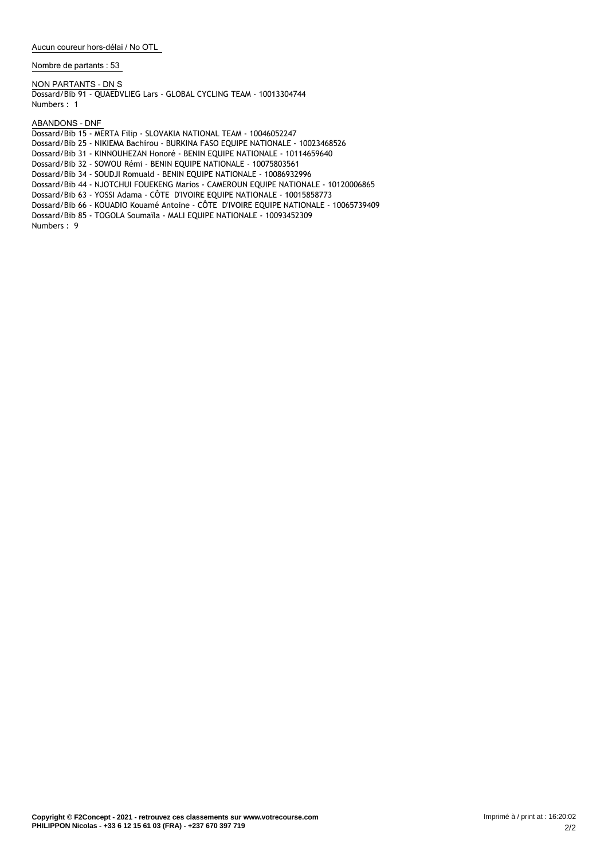**Nombre de partants : 53**

**NON PARTANTS - DN** S Dossard/Bib 91 - QUAEDVLIEG Lars - GLOBAL CYCLING TEAM - 10013304744 Numbers : 1

**ABANDONS - DNF**

Dossard/Bib 15 - MERTA Filip - SLOVAKIA NATIONAL TEAM - 10046052247 Dossard/Bib 25 - NIKIEMA Bachirou - BURKINA FASO EQUIPE NATIONALE - 10023468526 Dossard/Bib 31 - KINNOUHEZAN Honoré - BENIN EQUIPE NATIONALE - 10114659640 Dossard/Bib 32 - SOWOU Rémi - BENIN EQUIPE NATIONALE - 10075803561 Dossard/Bib 34 - SOUDJI Romuald - BENIN EQUIPE NATIONALE - 10086932996 Dossard/Bib 44 - NJOTCHUI FOUEKENG Marios - CAMEROUN EQUIPE NATIONALE - 10120006865 Dossard/Bib 63 - YOSSI Adama - CÔTE D'IVOIRE EQUIPE NATIONALE - 10015858773 Dossard/Bib 66 - KOUADIO Kouamé Antoine - CÔTE D'IVOIRE EQUIPE NATIONALE - 10065739409

Dossard/Bib 85 - TOGOLA Soumaïla - MALI EQUIPE NATIONALE - 10093452309

Numbers : 9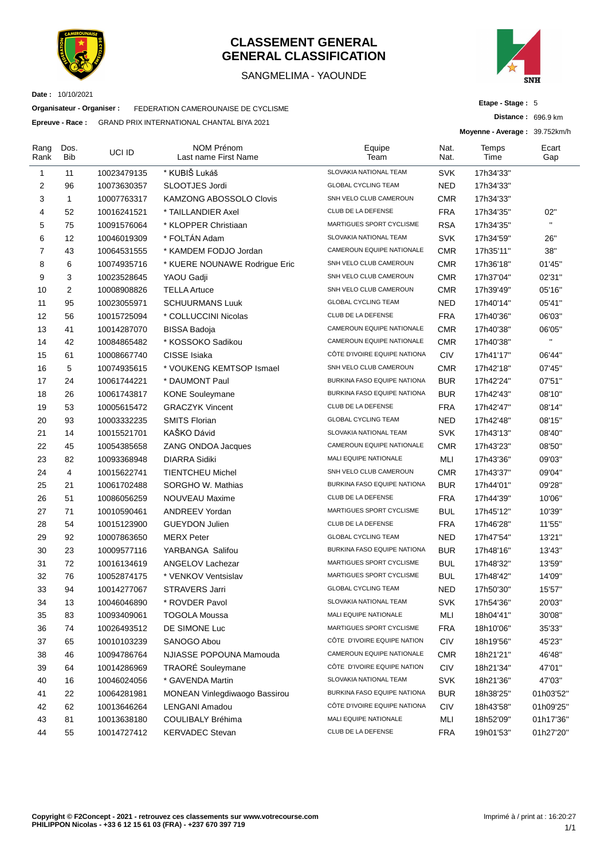

#### **CLASSEMENT GENERAL GENERAL CLASSIFICATION**

#### SANGMELIMA - YAOUNDE



**Date :** 10/10/2021

**Organisateur - Organiser :** FEDERATION CAMEROUNAISE DE CYCLISME

**Epreuve - Race :** GRAND PRIX INTERNATIONAL CHANTAL BIYA 2021

**Etape - Stage :** 5

**Distance :** 696.9 km

**Moyenne - Average :** 39.752km/h

| Rang<br>Rank | Dos.<br>Bib  | UCI ID      | <b>NOM Prénom</b><br>Last name First Name | Equipe<br>Team               | Nat.<br>Nat. | Temps<br>Time | Ecart<br>Gap |
|--------------|--------------|-------------|-------------------------------------------|------------------------------|--------------|---------------|--------------|
| 1            | 11           | 10023479135 | * KUBIŠ Lukáš                             | SLOVAKIA NATIONAL TEAM       | <b>SVK</b>   | 17h34'33"     |              |
| 2            | 96           | 10073630357 | SLOOTJES Jordi                            | <b>GLOBAL CYCLING TEAM</b>   | NED          | 17h34'33"     |              |
| 3            | $\mathbf{1}$ | 10007763317 | <b>KAMZONG ABOSSOLO Clovis</b>            | SNH VELO CLUB CAMEROUN       | <b>CMR</b>   | 17h34'33"     |              |
| 4            | 52           | 10016241521 | * TAILLANDIER Axel                        | CLUB DE LA DEFENSE           | <b>FRA</b>   | 17h34'35"     | 02"          |
| 5            | 75           | 10091576064 | * KLOPPER Christiaan                      | MARTIGUES SPORT CYCLISME     | <b>RSA</b>   | 17h34'35"     |              |
| 6            | 12           | 10046019309 | * FOLTÁN Adam                             | SLOVAKIA NATIONAL TEAM       | <b>SVK</b>   | 17h34'59"     | 26"          |
| 7            | 43           | 10064531555 | * KAMDEM FODJO Jordan                     | CAMEROUN EQUIPE NATIONALE    | <b>CMR</b>   | 17h35'11"     | 38"          |
| 8            | 6            | 10074935716 | * KUERE NOUNAWE Rodrigue Eric             | SNH VELO CLUB CAMEROUN       | <b>CMR</b>   | 17h36'18"     | 01'45"       |
| 9            | 3            | 10023528645 | YAOU Gadji                                | SNH VELO CLUB CAMEROUN       | <b>CMR</b>   | 17h37'04"     | 02'31"       |
| 10           | 2            | 10008908826 | <b>TELLA Artuce</b>                       | SNH VELO CLUB CAMEROUN       | <b>CMR</b>   | 17h39'49"     | 05'16"       |
| 11           | 95           | 10023055971 | <b>SCHUURMANS Luuk</b>                    | <b>GLOBAL CYCLING TEAM</b>   | NED          | 17h40'14"     | 05'41"       |
| 12           | 56           | 10015725094 | * COLLUCCINI Nicolas                      | CLUB DE LA DEFENSE           | <b>FRA</b>   | 17h40'36"     | 06'03"       |
| 13           | 41           | 10014287070 | <b>BISSA Badoja</b>                       | CAMEROUN EQUIPE NATIONALE    | <b>CMR</b>   | 17h40'38"     | 06'05"       |
| 14           | 42           | 10084865482 | * KOSSOKO Sadikou                         | CAMEROUN EQUIPE NATIONALE    | <b>CMR</b>   | 17h40'38"     | H,           |
| 15           | 61           | 10008667740 | CISSE Isiaka                              | CÔTE D'IVOIRE EQUIPE NATIONA | <b>CIV</b>   | 17h41'17"     | 06'44"       |
| 16           | 5            | 10074935615 | * VOUKENG KEMTSOP Ismael                  | SNH VELO CLUB CAMEROUN       | <b>CMR</b>   | 17h42'18"     | 07'45"       |
| 17           | 24           | 10061744221 | * DAUMONT Paul                            | BURKINA FASO EQUIPE NATIONA  | <b>BUR</b>   | 17h42'24"     | 07'51"       |
| 18           | 26           | 10061743817 | <b>KONE Souleymane</b>                    | BURKINA FASO EQUIPE NATIONA  | <b>BUR</b>   | 17h42'43"     | 08'10"       |
| 19           | 53           | 10005615472 | <b>GRACZYK Vincent</b>                    | CLUB DE LA DEFENSE           | <b>FRA</b>   | 17h42'47"     | 08'14"       |
| 20           | 93           | 10003332235 | <b>SMITS Florian</b>                      | <b>GLOBAL CYCLING TEAM</b>   | <b>NED</b>   | 17h42'48"     | 08'15"       |
| 21           | 14           | 10015521701 | KAŠKO Dávid                               | SLOVAKIA NATIONAL TEAM       | <b>SVK</b>   | 17h43'13"     | 08'40"       |
| 22           | 45           | 10054385658 | ZANG ONDOA Jacques                        | CAMEROUN EQUIPE NATIONALE    | <b>CMR</b>   | 17h43'23"     | 08'50"       |
| 23           | 82           | 10093368948 | <b>DIARRA Sidiki</b>                      | <b>MALI EQUIPE NATIONALE</b> | MLI          | 17h43'36"     | 09'03"       |
| 24           | 4            | 10015622741 | <b>TIENTCHEU Michel</b>                   | SNH VELO CLUB CAMEROUN       | <b>CMR</b>   | 17h43'37"     | 09'04"       |
| 25           | 21           | 10061702488 | SORGHO W. Mathias                         | BURKINA FASO EQUIPE NATIONA  | <b>BUR</b>   | 17h44'01"     | 09'28"       |
| 26           | 51           | 10086056259 | NOUVEAU Maxime                            | CLUB DE LA DEFENSE           | <b>FRA</b>   | 17h44'39"     | 10'06"       |
| 27           | 71           | 10010590461 | <b>ANDREEV Yordan</b>                     | MARTIGUES SPORT CYCLISME     | <b>BUL</b>   | 17h45'12"     | 10'39"       |
| 28           | 54           | 10015123900 | <b>GUEYDON Julien</b>                     | CLUB DE LA DEFENSE           | <b>FRA</b>   | 17h46'28"     | 11'55"       |
| 29           | 92           | 10007863650 | <b>MERX Peter</b>                         | <b>GLOBAL CYCLING TEAM</b>   | <b>NED</b>   | 17h47'54"     | 13'21"       |
| 30           | 23           | 10009577116 | YARBANGA Salifou                          | BURKINA FASO EQUIPE NATIONA  | <b>BUR</b>   | 17h48'16"     | 13'43"       |
| 31           | 72           | 10016134619 | ANGELOV Lachezar                          | MARTIGUES SPORT CYCLISME     | <b>BUL</b>   | 17h48'32"     | 13'59"       |
| 32           | 76           | 10052874175 | * VENKOV Ventsislav                       | MARTIGUES SPORT CYCLISME     | <b>BUL</b>   | 17h48'42"     | 14'09"       |
| 33           | 94           | 10014277067 | <b>STRAVERS Jarri</b>                     | <b>GLOBAL CYCLING TEAM</b>   | <b>NED</b>   | 17h50'30"     | 15'57"       |
| 34           | 13           | 10046046890 | * ROVDER Pavol                            | SLOVAKIA NATIONAL TEAM       | <b>SVK</b>   | 17h54'36"     | 20'03"       |
| 35           | 83           | 10093409061 | TOGOLA Moussa                             | MALI EQUIPE NATIONALE        | MLI          | 18h04'41"     | 30'08"       |
| 36           | 74           | 10026493512 | DE SIMONE Luc                             | MARTIGUES SPORT CYCLISME     | <b>FRA</b>   | 18h10'06"     | 35'33"       |
| 37           | 65           | 10010103239 | SANOGO Abou                               | CÔTE D'IVOIRE EQUIPE NATION  | <b>CIV</b>   | 18h19'56"     | 45'23"       |
| 38           | 46           | 10094786764 | NJIASSE POPOUNA Mamouda                   | CAMEROUN EQUIPE NATIONALE    | <b>CMR</b>   | 18h21'21"     | 46'48"       |
| 39           | 64           | 10014286969 | <b>TRAORÉ</b> Souleymane                  | CÔTE D'IVOIRE EQUIPE NATION  | <b>CIV</b>   | 18h21'34"     | 47'01"       |
| 40           |              |             | * GAVENDA Martin                          | SLOVAKIA NATIONAL TEAM       | <b>SVK</b>   |               |              |
|              | 16           | 10046024056 |                                           | BURKINA FASO EQUIPE NATIONA  |              | 18h21'36"     | 47'03"       |
| 41           | 22           | 10064281981 | MONEAN Vinlegdiwaogo Bassirou             | CÔTE D'IVOIRE EQUIPE NATIONA | <b>BUR</b>   | 18h38'25"     | 01h03'52"    |
| 42           | 62           | 10013646264 | <b>LENGANI Amadou</b>                     |                              | <b>CIV</b>   | 18h43'58"     | 01h09'25"    |
| 43           | 81           | 10013638180 | COULIBALY Bréhima                         | MALI EQUIPE NATIONALE        | MLI          | 18h52'09"     | 01h17'36"    |
| 44           | 55           | 10014727412 | <b>KERVADEC Stevan</b>                    | CLUB DE LA DEFENSE           | <b>FRA</b>   | 19h01'53"     | 01h27'20"    |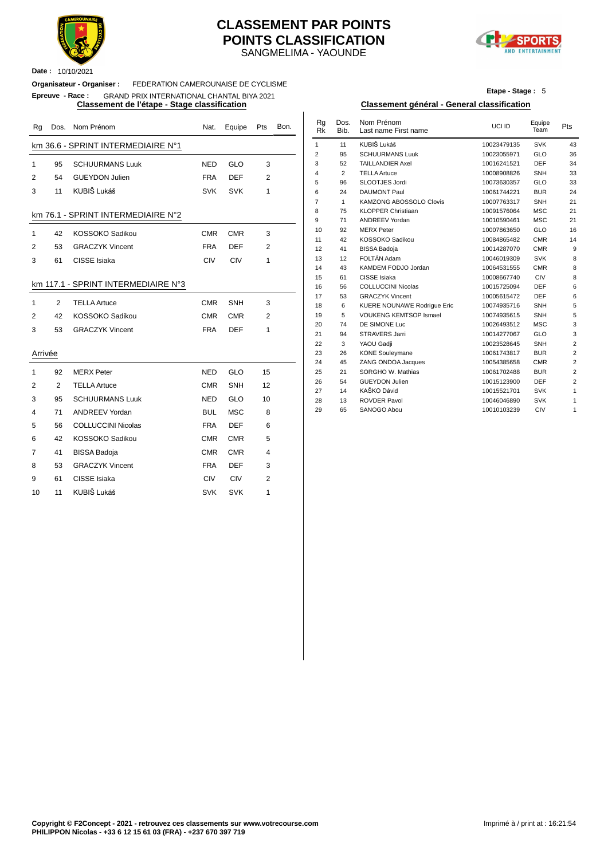

**Date :** 10/10/2021

#### SANGMELIMA - YAOUNDE **CLASSEMENT PAR POINTS POINTS CLASSIFICATION**



#### **Organisateur - Organiser :** FEDERATION CAMEROUNAISE DE CYCLISME **Epreuve - Race :** GRAND PRIX INTERNATIONAL CHANTAL BIYA 2021

| Rg             |    | Dos. Nom Prénom                     | Nat.       | Equipe     | Pts            | Bon. | Rg<br><b>Rk</b> | Dos.<br>Bib.   | Nom Prénom<br>Last name First name                  | UCI ID                     | Equipe<br>Team    | Pts     |
|----------------|----|-------------------------------------|------------|------------|----------------|------|-----------------|----------------|-----------------------------------------------------|----------------------------|-------------------|---------|
|                |    | km 36.6 - SPRINT INTERMEDIAIRE N°1  |            |            |                |      | $\mathbf{1}$    | 11             | KUBIŠ Lukáš                                         | 10023479135                | <b>SVK</b>        | 43      |
|                |    |                                     |            |            |                |      | $\overline{2}$  | 95             | <b>SCHUURMANS Luuk</b>                              | 10023055971                | GLO               | 36      |
| $\mathbf{1}$   | 95 | <b>SCHUURMANS Luuk</b>              | <b>NED</b> | GLO        | 3              |      | 3               | 52             | <b>TAILLANDIER Axel</b>                             | 10016241521                | DEF               | 34      |
| $\overline{2}$ | 54 | <b>GUEYDON Julien</b>               | <b>FRA</b> | <b>DEF</b> | $\overline{2}$ |      | 4               | $\overline{2}$ | <b>TELLA Artuce</b>                                 | 10008908826                | SNH               | 33      |
|                |    |                                     |            |            |                |      | 5               | 96             | SLOOTJES Jordi                                      | 10073630357                | GLO               | 33      |
| 3              | 11 | KUBIŠ Lukáš                         | <b>SVK</b> | <b>SVK</b> | 1              |      | 6               | 24             | <b>DAUMONT Paul</b>                                 | 10061744221                | <b>BUR</b>        | $2\ell$ |
|                |    |                                     |            |            |                |      | $\overline{7}$  | $\mathbf{1}$   | KAMZONG ABOSSOLO Clovis                             | 10007763317                | <b>SNH</b>        | 21      |
|                |    | km 76.1 - SPRINT INTERMEDIAIRE N°2  |            |            |                |      | 8               | 75             | <b>KLOPPER Christiaan</b>                           | 10091576064                | <b>MSC</b>        | 21      |
|                |    |                                     |            |            |                |      | 9               | 71             | <b>ANDREEV Yordan</b>                               | 10010590461                | <b>MSC</b>        | 21      |
| $\mathbf{1}$   | 42 | KOSSOKO Sadikou                     | <b>CMR</b> | <b>CMR</b> | 3              |      | 10              | 92             | <b>MERX Peter</b>                                   | 10007863650                | GLO               | 16      |
| 2              | 53 | <b>GRACZYK Vincent</b>              | <b>FRA</b> | <b>DEF</b> | $\overline{2}$ |      | 11              | 42             | KOSSOKO Sadikou                                     | 10084865482                | <b>CMR</b>        | 14      |
|                |    |                                     |            |            |                |      | 12              | 41             | <b>BISSA Badoja</b>                                 | 10014287070                | <b>CMR</b>        | ç       |
| 3              | 61 | CISSE Isiaka                        | CIV        | CIV        | 1              |      | 13              | 12             | FOLTÁN Adam                                         | 10046019309                | <b>SVK</b>        | ε       |
|                |    |                                     |            |            |                |      | 14              | 43             | KAMDEM FODJO Jordan                                 | 10064531555                | <b>CMR</b>        |         |
|                |    | km 117.1 - SPRINT INTERMEDIAIRE N°3 |            |            |                |      | 15<br>16        | 61<br>56       | CISSE Isiaka                                        | 10008667740                | CIV<br><b>DEF</b> |         |
|                |    |                                     |            |            |                |      | 17              | 53             | <b>COLLUCCINI Nicolas</b><br><b>GRACZYK Vincent</b> | 10015725094<br>10005615472 | <b>DEF</b>        |         |
| 1              | 2  | <b>TELLA Artuce</b>                 | <b>CMR</b> | SNH        | 3              |      | 18              | 6              | KUERE NOUNAWE Rodrigue Eric                         | 10074935716                | <b>SNH</b>        |         |
| 2              | 42 | KOSSOKO Sadikou                     | <b>CMR</b> | <b>CMR</b> | $\overline{2}$ |      | 19              | 5              | <b>VOUKENG KEMTSOP Ismael</b>                       | 10074935615                | SNH               |         |
|                |    |                                     |            |            |                |      | 20              | 74             | DE SIMONE Luc                                       | 10026493512                | <b>MSC</b>        |         |
| 3              | 53 | <b>GRACZYK Vincent</b>              | <b>FRA</b> | <b>DEF</b> | 1              |      | 21              | 94             | <b>STRAVERS Jarri</b>                               | 10014277067                | GLO               |         |
|                |    |                                     |            |            |                |      | 22              | 3              | YAOU Gadji                                          | 10023528645                | SNH               |         |
| Arrivée        |    |                                     |            |            |                |      | 23              | 26             | <b>KONE Souleymane</b>                              | 10061743817                | <b>BUR</b>        |         |
|                |    |                                     |            |            |                |      | 24              | 45             | ZANG ONDOA Jacques                                  | 10054385658                | <b>CMR</b>        |         |
| $\mathbf{1}$   | 92 | <b>MERX Peter</b>                   | <b>NED</b> | GLO        | 15             |      | 25              | 21             | SORGHO W. Mathias                                   | 10061702488                | <b>BUR</b>        |         |
| 2              | 2  | <b>TELLA Artuce</b>                 | <b>CMR</b> | SNH        | 12             |      | 26              | 54             | <b>GUEYDON Julien</b>                               | 10015123900                | <b>DEF</b>        |         |
|                |    |                                     |            |            |                |      | 27              | 14             | KAŠKO Dávid                                         | 10015521701                | <b>SVK</b>        |         |
| 3              | 95 | <b>SCHUURMANS Luuk</b>              | <b>NED</b> | GLO        | 10             |      | 28              | 13             | <b>ROVDER Pavol</b>                                 | 10046046890                | <b>SVK</b>        |         |
| 4              | 71 | <b>ANDREEV Yordan</b>               | <b>BUL</b> | <b>MSC</b> | 8              |      | 29              | 65             | SANOGO Abou                                         | 10010103239                | CIV               |         |
| 5              | 56 | <b>COLLUCCINI Nicolas</b>           | <b>FRA</b> | <b>DEF</b> | 6              |      |                 |                |                                                     |                            |                   |         |
| 6              | 42 | KOSSOKO Sadikou                     | <b>CMR</b> | <b>CMR</b> | 5              |      |                 |                |                                                     |                            |                   |         |
| 7              | 41 | <b>BISSA Badoja</b>                 | <b>CMR</b> | <b>CMR</b> | 4              |      |                 |                |                                                     |                            |                   |         |
| 8              | 53 | <b>GRACZYK Vincent</b>              | <b>FRA</b> | <b>DEF</b> | 3              |      |                 |                |                                                     |                            |                   |         |
| 9              | 61 | CISSE Isiaka                        | CIV        | CIV        | $\overline{2}$ |      |                 |                |                                                     |                            |                   |         |
| 10             | 11 | KUBIŠ Lukáš                         | <b>SVK</b> | <b>SVK</b> | 1              |      |                 |                |                                                     |                            |                   |         |

**Etape - Stage :** 5

#### **Classement de l'étape - Stage classification Classement général - General classification**

| Nat.       | Equipe     | Pts            | Bon. | Rg<br><b>Rk</b> | Dos.<br>Bib. | Nom Prénom<br>Last name First name | UCI ID      | Equipe<br>Team | <b>Pts</b>     |
|------------|------------|----------------|------|-----------------|--------------|------------------------------------|-------------|----------------|----------------|
|            |            |                |      | $\mathbf{1}$    | 11           | KUBIŠ Lukáš                        | 10023479135 | <b>SVK</b>     | 43             |
|            |            |                |      | $\overline{2}$  | 95           | <b>SCHUURMANS Luuk</b>             | 10023055971 | GLO            | 36             |
| NED        | <b>GLO</b> | 3              |      | 3               | 52           | <b>TAILLANDIER Axel</b>            | 10016241521 | <b>DEF</b>     | 34             |
| <b>FRA</b> | <b>DEF</b> | $\overline{2}$ |      | 4               | 2            | <b>TELLA Artuce</b>                | 10008908826 | SNH            | 33             |
|            |            |                |      | 5               | 96           | SLOOTJES Jordi                     | 10073630357 | <b>GLO</b>     | 33             |
| SVK        | <b>SVK</b> | 1              |      | 6               | 24           | <b>DAUMONT Paul</b>                | 10061744221 | <b>BUR</b>     | 24             |
|            |            |                |      | $\overline{7}$  | $\mathbf{1}$ | <b>KAMZONG ABOSSOLO Clovis</b>     | 10007763317 | SNH            | 21             |
|            |            |                |      | 8               | 75           | <b>KLOPPER Christiaan</b>          | 10091576064 | <b>MSC</b>     | 21             |
|            |            |                |      | 9               | 71           | <b>ANDREEV Yordan</b>              | 10010590461 | <b>MSC</b>     | 21             |
| CMR        | <b>CMR</b> | 3              |      | 10              | 92           | <b>MERX Peter</b>                  | 10007863650 | GLO            | 16             |
|            |            |                |      | 11              | 42           | KOSSOKO Sadikou                    | 10084865482 | <b>CMR</b>     | 14             |
| FRA        | <b>DEF</b> | 2              |      | 12              | 41           | <b>BISSA Badoja</b>                | 10014287070 | <b>CMR</b>     | 9              |
| CIV        | <b>CIV</b> | 1              |      | 13              | 12           | FOLTÁN Adam                        | 10046019309 | <b>SVK</b>     | 8              |
|            |            |                |      | 14              | 43           | KAMDEM FODJO Jordan                | 10064531555 | <b>CMR</b>     | 8              |
|            |            |                |      | 15              | 61           | CISSE Isiaka                       | 10008667740 | CIV            | 8              |
|            |            |                |      | 16              | 56           | <b>COLLUCCINI Nicolas</b>          | 10015725094 | <b>DEF</b>     | 6              |
|            |            |                |      | 17              | 53           | <b>GRACZYK Vincent</b>             | 10005615472 | <b>DEF</b>     | 6              |
| CMR        | SNH        | 3              |      | 18              | 6            | <b>KUERE NOUNAWE Rodrique Eric</b> | 10074935716 | <b>SNH</b>     | 5              |
| CMR        | <b>CMR</b> | 2              |      | 19              | 5            | <b>VOUKENG KEMTSOP Ismael</b>      | 10074935615 | SNH            | 5              |
| <b>FRA</b> |            |                |      | 20              | 74           | DE SIMONE Luc                      | 10026493512 | <b>MSC</b>     | 3              |
|            | <b>DEF</b> | 1              |      | 21              | 94           | <b>STRAVERS Jarri</b>              | 10014277067 | GLO            | 3              |
|            |            |                |      | 22              | 3            | YAOU Gadji                         | 10023528645 | SNH            | $\overline{2}$ |
|            |            |                |      | 23              | 26           | <b>KONE Souleymane</b>             | 10061743817 | <b>BUR</b>     | 2              |
|            |            |                |      | 24              | 45           | ZANG ONDOA Jacques                 | 10054385658 | <b>CMR</b>     | $\overline{2}$ |
| NED        | <b>GLO</b> | 15             |      | 25              | 21           | SORGHO W. Mathias                  | 10061702488 | <b>BUR</b>     | $\overline{2}$ |
| CMR        | <b>SNH</b> | 12             |      | 26              | 54           | <b>GUEYDON Julien</b>              | 10015123900 | <b>DEF</b>     | $\overline{2}$ |
|            |            |                |      | 27              | 14           | KAŠKO Dávid                        | 10015521701 | <b>SVK</b>     | $\mathbf{1}$   |
| NED        | <b>GLO</b> | 10             |      | 28              | 13           | <b>ROVDER Pavol</b>                | 10046046890 | <b>SVK</b>     | $\mathbf{1}$   |
| BUL        | <b>MSC</b> | 8              |      | 29              | 65           | SANOGO Abou                        | 10010103239 | CIV            | 1              |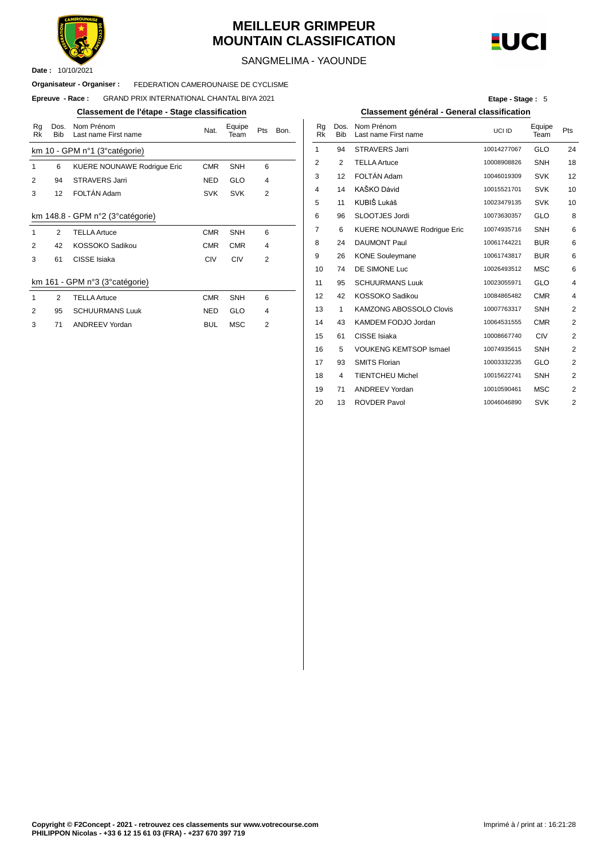

### **MEILLEUR GRIMPEUR MOUNTAIN CLASSIFICATION**



SANGMELIMA - YAOUNDE

#### FEDERATION CAMEROUNAISE DE CYCLISME **Organisateur - Organiser :**

#### $E$ preuve - **Race** : GRAND PRIX INTERNATIONAL CHANTAL BIYA 2021

#### **Classement de l'étape - Stage classification Classement général - General classification**

| Rg<br>Rk      | Dos.<br><b>Bib</b> | Nom Prénom<br>Last name First name | Nat.       | Equipe<br>Team | Pts            | Bon. | Rg<br>Rk       | Dos.<br><b>Bib</b> | Nom Prénom<br>Last name First |
|---------------|--------------------|------------------------------------|------------|----------------|----------------|------|----------------|--------------------|-------------------------------|
|               |                    | km 10 - GPM n°1 (3° catégorie)     |            |                |                |      | 1              | 94                 | <b>STRAVERS Jarr</b>          |
| 1             | 6                  | <b>KUERE NOUNAWE Rodrique Eric</b> | <b>CMR</b> | <b>SNH</b>     | 6              |      | $\overline{2}$ | 2                  | <b>TELLA Artuce</b>           |
| 2             | 94                 | <b>STRAVERS Jarri</b>              | <b>NED</b> | <b>GLO</b>     | 4              |      | 3              | 12                 | FOLTÁN Adam                   |
| 3             | 12                 | FOLTÁN Adam                        | <b>SVK</b> | <b>SVK</b>     | $\overline{2}$ |      | 4              | 14                 | KAŠKO Dávid                   |
|               |                    |                                    |            |                |                |      | 5              | 11                 | KUBIŠ Lukáš                   |
|               |                    | km 148.8 - GPM n°2 (3° catégorie)  |            |                |                |      | 6              | 96                 | <b>SLOOTJES Jord</b>          |
| 1             | $\mathcal{P}$      | <b>TELLA Artuce</b>                | <b>CMR</b> | <b>SNH</b>     | 6              |      | 7              | 6                  | <b>KUERE NOUNA</b>            |
| 2             | 42                 | KOSSOKO Sadikou                    | <b>CMR</b> | <b>CMR</b>     | 4              |      | 8              | 24                 | <b>DAUMONT Paul</b>           |
| 3             | 61                 | CISSE Isiaka                       | <b>CIV</b> | <b>CIV</b>     | $\overline{2}$ |      | 9              | 26                 | <b>KONE Souleyma</b>          |
|               |                    |                                    |            |                |                |      | 10             | 74                 | DE SIMONE Luc                 |
|               |                    | km 161 - GPM n°3 (3° catégorie)    |            |                |                |      | 11             | 95                 | <b>SCHUURMANS</b>             |
| 1             | 2                  | <b>TELLA Artuce</b>                | <b>CMR</b> | <b>SNH</b>     | 6              |      | 12             | 42                 | KOSSOKO Sadi                  |
| $\mathcal{P}$ | 95                 | <b>SCHUURMANS Luuk</b>             | <b>NED</b> | GLO            | 4              |      | 13             | 1                  | <b>KAMZONG ABC</b>            |
| 3             | 71                 | <b>ANDREEV Yordan</b>              | <b>BUL</b> | <b>MSC</b>     | $\overline{2}$ |      | 14             | 43                 | <b>KAMDEM FODJ</b>            |

**Etape - Stage :** 5

| Nom Prénom<br>Last name First name | Nat.       | Equipe<br>Team | Pts | Bon. | Rq<br>Rk | Dos.<br><b>Bib</b> | Nom Prénom<br>Last name First name | UCI ID      | Equipe<br>Team | Pts                     |
|------------------------------------|------------|----------------|-----|------|----------|--------------------|------------------------------------|-------------|----------------|-------------------------|
| M n°1 (3° catégorie)               |            |                |     |      | 1        | 94                 | <b>STRAVERS Jarri</b>              | 10014277067 | <b>GLO</b>     | 24                      |
| <b>KUERE NOUNAWE Rodrique Eric</b> | <b>CMR</b> | <b>SNH</b>     | 6   |      | 2        | 2                  | <b>TELLA Artuce</b>                | 10008908826 | <b>SNH</b>     | 18                      |
| <b>STRAVERS Jarri</b>              | <b>NED</b> | <b>GLO</b>     | 4   |      | 3        | 12                 | FOLTÁN Adam                        | 10046019309 | <b>SVK</b>     | 12                      |
| FOLTÁN Adam                        | <b>SVK</b> | <b>SVK</b>     | 2   |      | 4        | 14                 | KAŠKO Dávid                        | 10015521701 | <b>SVK</b>     | 10                      |
|                                    |            |                |     |      | 5        | 11                 | KUBIŠ Lukáš                        | 10023479135 | <b>SVK</b>     | 10                      |
| GPM n°2 (3°catégorie)              |            |                |     |      | 6        | 96                 | SLOOTJES Jordi                     | 10073630357 | <b>GLO</b>     | 8                       |
| <b>TELLA Artuce</b>                | <b>CMR</b> | <b>SNH</b>     | 6   |      | 7        | 6                  | <b>KUERE NOUNAWE Rodrique Eric</b> | 10074935716 | <b>SNH</b>     | 6                       |
| KOSSOKO Sadikou                    | <b>CMR</b> | <b>CMR</b>     | 4   |      | 8        | 24                 | <b>DAUMONT Paul</b>                | 10061744221 | <b>BUR</b>     | 6                       |
| CISSE Isiaka                       | <b>CIV</b> | <b>CIV</b>     | 2   |      | 9        | 26                 | <b>KONE Souleymane</b>             | 10061743817 | <b>BUR</b>     | 6                       |
|                                    |            |                |     |      | 10       | 74                 | DE SIMONE Luc                      | 10026493512 | <b>MSC</b>     | 6                       |
| PM n°3 (3°catégorie)               |            |                |     |      | 11       | 95                 | <b>SCHUURMANS Luuk</b>             | 10023055971 | GLO            | 4                       |
| <b>TELLA Artuce</b>                | <b>CMR</b> | <b>SNH</b>     | 6   |      | 12       | 42                 | KOSSOKO Sadikou                    | 10084865482 | <b>CMR</b>     | 4                       |
| <b>SCHUURMANS Luuk</b>             | <b>NED</b> | <b>GLO</b>     | 4   |      | 13       | 1                  | <b>KAMZONG ABOSSOLO Clovis</b>     | 10007763317 | <b>SNH</b>     | 2                       |
| <b>ANDREEV Yordan</b>              | <b>BUL</b> | <b>MSC</b>     | 2   |      | 14       | 43                 | KAMDEM FODJO Jordan                | 10064531555 | <b>CMR</b>     | 2                       |
|                                    |            |                |     |      | 15       | 61                 | CISSE Isiaka                       | 10008667740 | <b>CIV</b>     | $\overline{\mathbf{c}}$ |
|                                    |            |                |     |      | 16       | 5                  | <b>VOUKENG KEMTSOP Ismael</b>      | 10074935615 | <b>SNH</b>     | $\overline{2}$          |
|                                    |            |                |     |      | 17       | 93                 | <b>SMITS Florian</b>               | 10003332235 | <b>GLO</b>     | 2                       |
|                                    |            |                |     |      | 18       | 4                  | <b>TIENTCHEU Michel</b>            | 10015622741 | <b>SNH</b>     | 2                       |
|                                    |            |                |     |      | 19       | 71                 | <b>ANDREEV Yordan</b>              | 10010590461 | <b>MSC</b>     | 2                       |
|                                    |            |                |     |      | 20       | 13                 | <b>ROVDER Pavol</b>                | 10046046890 | <b>SVK</b>     | 2                       |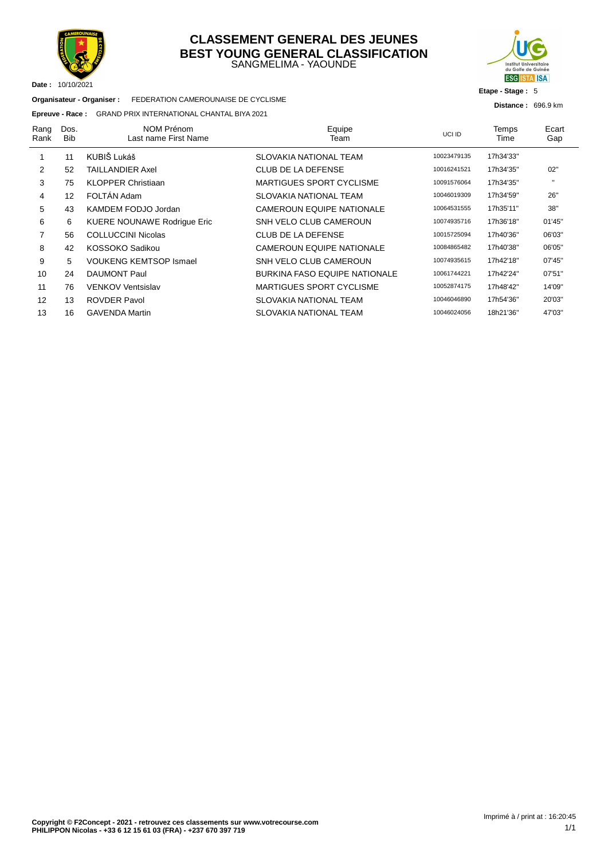

#### SANGMELIMA - YAOUNDE **CLASSEMENT GENERAL DES JEUNES BEST YOUNG GENERAL CLASSIFICATION**



#### **Etape - Stage :** 5

**Distance :** 696.9 km

**Organisateur - Organiser :** FEDERATION CAMEROUNAISE DE CYCLISME

#### **Epreuve - Race :** GRAND PRIX INTERNATIONAL CHANTAL BIYA 2021

| Rang<br>Rank | Dos.<br><b>Bib</b> | NOM Prénom<br>Last name First Name | Equipe<br>Team                       | UCI ID      | Temps<br>Time | Ecart<br>Gap |
|--------------|--------------------|------------------------------------|--------------------------------------|-------------|---------------|--------------|
|              | 11                 | KUBIŠ Lukáš                        | SLOVAKIA NATIONAL TEAM               | 10023479135 | 17h34'33"     |              |
| 2            | 52                 | <b>TAILLANDIER Axel</b>            | <b>CLUB DE LA DEFENSE</b>            | 10016241521 | 17h34'35"     | 02"          |
| 3            | 75                 | <b>KLOPPER Christiaan</b>          | <b>MARTIGUES SPORT CYCLISME</b>      | 10091576064 | 17h34'35"     | $\mathbf{H}$ |
| 4            | 12                 | FOLTÁN Adam                        | SLOVAKIA NATIONAL TEAM               | 10046019309 | 17h34'59"     | 26"          |
| 5            | 43                 | KAMDEM FODJO Jordan                | <b>CAMEROUN EQUIPE NATIONALE</b>     | 10064531555 | 17h35'11"     | 38"          |
| 6            | 6                  | <b>KUERE NOUNAWE Rodrigue Eric</b> | SNH VELO CLUB CAMEROUN               | 10074935716 | 17h36'18"     | 01'45"       |
| 7            | 56                 | <b>COLLUCCINI Nicolas</b>          | <b>CLUB DE LA DEFENSE</b>            | 10015725094 | 17h40'36"     | 06'03"       |
| 8            | 42                 | KOSSOKO Sadikou                    | <b>CAMEROUN EQUIPE NATIONALE</b>     | 10084865482 | 17h40'38"     | 06'05"       |
| 9            | 5                  | <b>VOUKENG KEMTSOP Ismael</b>      | SNH VELO CLUB CAMEROUN               | 10074935615 | 17h42'18"     | 07'45"       |
| 10           | 24                 | <b>DAUMONT Paul</b>                | <b>BURKINA FASO EQUIPE NATIONALE</b> | 10061744221 | 17h42'24"     | 07'51"       |
| 11           | 76                 | <b>VENKOV Ventsislav</b>           | <b>MARTIGUES SPORT CYCLISME</b>      | 10052874175 | 17h48'42"     | 14'09"       |
| 12           | 13                 | <b>ROVDER Pavol</b>                | SLOVAKIA NATIONAL TEAM               | 10046046890 | 17h54'36"     | 20'03"       |
| 13           | 16                 | <b>GAVENDA Martin</b>              | SLOVAKIA NATIONAL TEAM               | 10046024056 | 18h21'36"     | 47'03"       |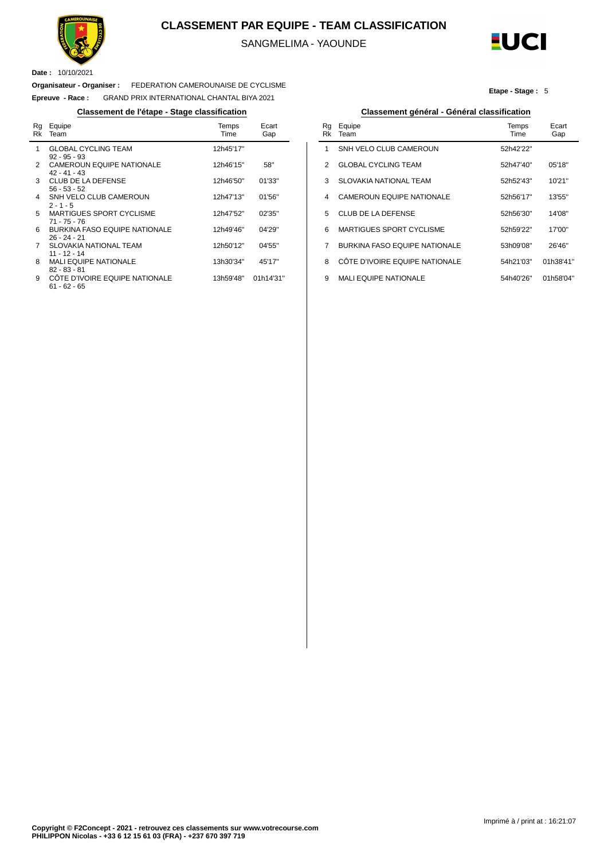

#### **CLASSEMENT PAR EQUIPE - TEAM CLASSIFICATION**

SANGMELIMA - YAOUNDE

Ĭ.



**Etape - Stage :** 5

**Date :** 10/10/2021

#### **Organisateur - Organiser :** FEDERATION CAMEROUNAISE DE CYCLISME

**Epreuve - Race :** GRAND PRIX INTERNATIONAL CHANTAL BIYA 2021

| Rg<br>Rk | Equipe<br>Team                                         | Temps<br>Time | Ecart<br>Gap |
|----------|--------------------------------------------------------|---------------|--------------|
| 1        | <b>GLOBAL CYCLING TEAM</b><br>$92 - 95 - 93$           | 12h45'17"     |              |
| 2        | <b>CAMEROUN EQUIPE NATIONALE</b><br>$42 - 41 - 43$     | 12h46'15"     | 58"          |
| 3        | <b>CLUB DE LA DEFENSE</b><br>$56 - 53 - 52$            | 12h46'50"     | 01'33"       |
| 4        | SNH VELO CLUB CAMEROUN<br>$2 - 1 - 5$                  | 12h47'13"     | 01'56"       |
| 5        | <b>MARTIGUES SPORT CYCLISME</b><br>71 - 75 - 76        | 12h47'52"     | 02'35"       |
| 6        | <b>BURKINA FASO EQUIPE NATIONALE</b><br>$26 - 24 - 21$ | 12h49'46"     | 04'29"       |
| 7        | <b>SLOVAKIA NATIONAL TEAM</b><br>$11 - 12 - 14$        | 12h50'12"     | 04'55"       |
| 8        | <b>MALI EQUIPE NATIONALE</b><br>82 - 83 - 81           | 13h30'34"     | 45'17"       |
| 9        | COTE D'IVOIRE EQUIPE NATIONALE<br>61 - 62 - 65         | 13h59'48"     | 01h14'31"    |

#### **Classement de l'étape - Stage classification Classement général - Général classification**

| Rq<br>Rk | Equipe<br>Team                       | Temps<br><b>Time</b> | Ecart<br>Gap |
|----------|--------------------------------------|----------------------|--------------|
| 1        | SNH VELO CLUB CAMEROUN               | 52h42'22"            |              |
| 2        | GI OBAL CYCLING TEAM                 | 52h47'40"            | 05'18"       |
| 3        | SLOVAKIA NATIONAL TEAM               | 52h52'43"            | 10'21"       |
| 4        | <b>CAMEROUN EQUIPE NATIONALE</b>     | 52h56'17"            | 13'55"       |
| 5        | <b>CLUB DE LA DEFENSE</b>            | 52h56'30"            | 14'08"       |
| 6        | MARTIGUES SPORT CYCLISME             | 52h59'22"            | 17'00"       |
| 7        | <b>BURKINA FASO EQUIPE NATIONALE</b> | 53h09'08"            | 26'46"       |
| 8        | CÔTE D'IVOIRE EQUIPE NATIONALE       | 54h21'03"            | 01h38'41"    |
| 9        | <b>MALI EQUIPE NATIONALE</b>         | 54h40'26"            | 01h58'04"    |
|          |                                      |                      |              |